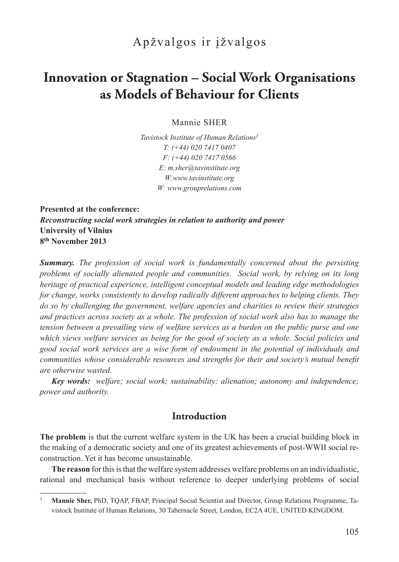## Apžvalgos ir įžvalgos

# **Innovation or Stagnation – Social Work Organisations as Models of Behaviour for Clients**

Mannie SHER

*Tavistock Institute of Human Relations<sup>1</sup> T: (+44) 020 7417 0407 F: (+44) 020 7417 0566 E: m.sher@tavinstitute.org W:www.tavinstitute.org W: www.grouprelations.com*

**Presented at the conference:** *Reconstructing social work strategies in relation to authority and power* **University of Vilnius 8th November 2013**

*Summary. The profession of social work is fundamentally concerned about the persisting problems of socially alienated people and communities. Social work, by relying on its long heritage of practical experience, intelligent conceptual models and leading edge methodologies for change, works consistently to develop radically different approaches to helping clients. They do so by challenging the government, welfare agencies and charities to review their strategies and practices across society as a whole. The profession of social work also has to manage the tension between a prevailing view of welfare services as a burden on the public purse and one which views welfare services as being for the good of society as a whole. Social policies and good social work services are a wise form of endowment in the potential of individuals and communities whose considerable resources and strengths for their and society's mutual benefit are otherwise wasted.*

*Key words: welfare; social work; sustainability; alienation; autonomy and independence; power and authority.*

#### **Introduction**

**The problem** is that the current welfare system in the UK has been a crucial building block in the making of a democratic society and one of its greatest achievements of post-WWII social reconstruction. Yet it has become unsustainable.

**The reason** for this is that the welfare system addresses welfare problems on an individualistic, rational and mechanical basis without reference to deeper underlying problems of social

<sup>&</sup>lt;sup>1</sup> **Mannie Sher, PhD, TQAP, FBAP, Principal Social Scientist and Director, Group Relations Programme, Ta**vistock Institute of Human Relations, 30 Tabernacle Street, London, EC2A 4UE, UNITED KINGDOM.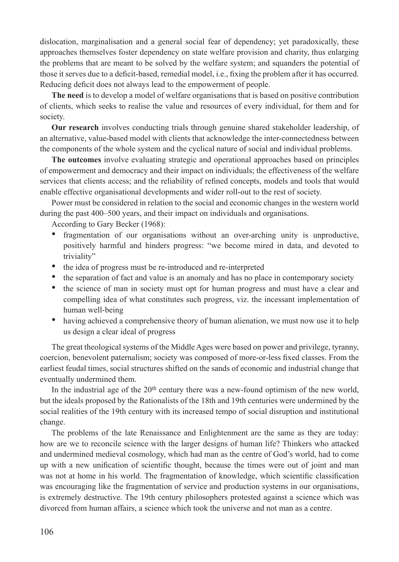dislocation, marginalisation and a general social fear of dependency; yet paradoxically, these approaches themselves foster dependency on state welfare provision and charity, thus enlarging the problems that are meant to be solved by the welfare system; and squanders the potential of those it serves due to a deficit-based, remedial model, i.e., fixing the problem after it has occurred. Reducing deficit does not always lead to the empowerment of people.

**The need** is to develop a model of welfare organisations that is based on positive contribution of clients, which seeks to realise the value and resources of every individual, for them and for society.

**Our research** involves conducting trials through genuine shared stakeholder leadership, of an alternative, value-based model with clients that acknowledge the inter-connectedness between the components of the whole system and the cyclical nature of social and individual problems.

**The outcomes** involve evaluating strategic and operational approaches based on principles of empowerment and democracy and their impact on individuals; the effectiveness of the welfare services that clients access; and the reliability of refined concepts, models and tools that would enable effective organisational developments and wider roll-out to the rest of society.

Power must be considered in relation to the social and economic changes in the western world during the past 400–500 years, and their impact on individuals and organisations.

According to Gary Becker (1968):

- fragmentation of our organisations without an over-arching unity is unproductive, positively harmful and hinders progress: "we become mired in data, and devoted to triviality"
- the idea of progress must be re-introduced and re-interpreted
- the separation of fact and value is an anomaly and has no place in contemporary society
- the science of man in society must opt for human progress and must have a clear and compelling idea of what constitutes such progress, viz. the incessant implementation of human well-being
- having achieved a comprehensive theory of human alienation, we must now use it to help us design a clear ideal of progress

The great theological systems of the Middle Ages were based on power and privilege, tyranny, coercion, benevolent paternalism; society was composed of more-or-less fixed classes. From the earliest feudal times, social structures shifted on the sands of economic and industrial change that eventually undermined them.

In the industrial age of the  $20<sup>th</sup>$  century there was a new-found optimism of the new world, but the ideals proposed by the Rationalists of the 18th and 19th centuries were undermined by the social realities of the 19th century with its increased tempo of social disruption and institutional change.

The problems of the late Renaissance and Enlightenment are the same as they are today: how are we to reconcile science with the larger designs of human life? Thinkers who attacked and undermined medieval cosmology, which had man as the centre of God's world, had to come up with a new unification of scientific thought, because the times were out of joint and man was not at home in his world. The fragmentation of knowledge, which scientific classification was encouraging like the fragmentation of service and production systems in our organisations, is extremely destructive. The 19th century philosophers protested against a science which was divorced from human affairs, a science which took the universe and not man as a centre.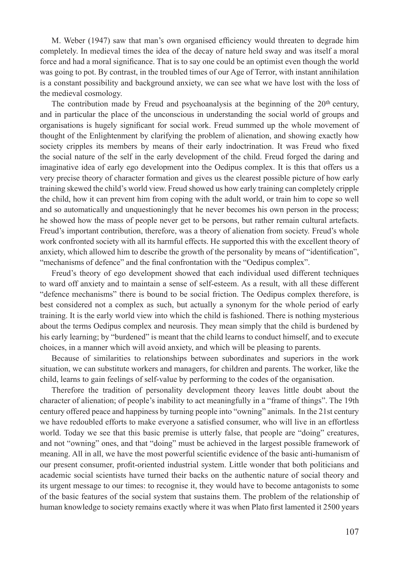M. Weber (1947) saw that man's own organised efficiency would threaten to degrade him completely. In medieval times the idea of the decay of nature held sway and was itself a moral force and had a moral significance. That is to say one could be an optimist even though the world was going to pot. By contrast, in the troubled times of our Age of Terror, with instant annihilation is a constant possibility and background anxiety, we can see what we have lost with the loss of the medieval cosmology.

The contribution made by Freud and psychoanalysis at the beginning of the 20<sup>th</sup> century, and in particular the place of the unconscious in understanding the social world of groups and organisations is hugely significant for social work. Freud summed up the whole movement of thought of the Enlightenment by clarifying the problem of alienation, and showing exactly how society cripples its members by means of their early indoctrination. It was Freud who fixed the social nature of the self in the early development of the child. Freud forged the daring and imaginative idea of early ego development into the Oedipus complex. It is this that offers us a very precise theory of character formation and gives us the clearest possible picture of how early training skewed the child's world view. Freud showed us how early training can completely cripple the child, how it can prevent him from coping with the adult world, or train him to cope so well and so automatically and unquestioningly that he never becomes his own person in the process; he showed how the mass of people never get to be persons, but rather remain cultural artefacts. Freud's important contribution, therefore, was a theory of alienation from society. Freud's whole work confronted society with all its harmful effects. He supported this with the excellent theory of anxiety, which allowed him to describe the growth of the personality by means of "identification", "mechanisms of defence" and the final confrontation with the "Oedipus complex".

Freud's theory of ego development showed that each individual used different techniques to ward off anxiety and to maintain a sense of self-esteem. As a result, with all these different "defence mechanisms" there is bound to be social friction. The Oedipus complex therefore, is best considered not a complex as such, but actually a synonym for the whole period of early training. It is the early world view into which the child is fashioned. There is nothing mysterious about the terms Oedipus complex and neurosis. They mean simply that the child is burdened by his early learning; by "burdened" is meant that the child learns to conduct himself, and to execute choices, in a manner which will avoid anxiety, and which will be pleasing to parents.

Because of similarities to relationships between subordinates and superiors in the work situation, we can substitute workers and managers, for children and parents. The worker, like the child, learns to gain feelings of self-value by performing to the codes of the organisation.

Therefore the tradition of personality development theory leaves little doubt about the character of alienation; of people's inability to act meaningfully in a "frame of things". The 19th century offered peace and happiness by turning people into "owning" animals. In the 21st century we have redoubled efforts to make everyone a satisfied consumer, who will live in an effortless world. Today we see that this basic premise is utterly false, that people are "doing" creatures, and not "owning" ones, and that "doing" must be achieved in the largest possible framework of meaning. All in all, we have the most powerful scientific evidence of the basic anti-humanism of our present consumer, profit-oriented industrial system. Little wonder that both politicians and academic social scientists have turned their backs on the authentic nature of social theory and its urgent message to our times: to recognise it, they would have to become antagonists to some of the basic features of the social system that sustains them. The problem of the relationship of human knowledge to society remains exactly where it was when Plato first lamented it 2500 years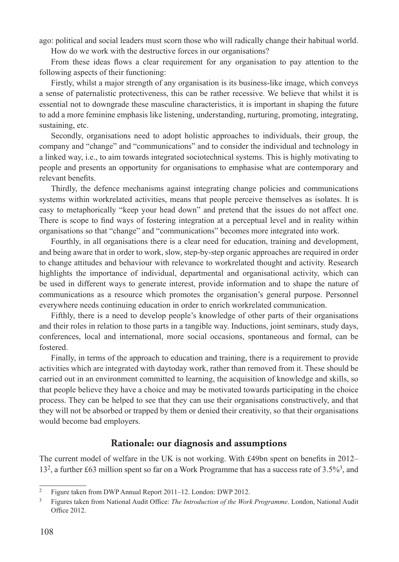ago: political and social leaders must scorn those who will radically change their habitual world.

How do we work with the destructive forces in our organisations?

From these ideas flows a clear requirement for any organisation to pay attention to the following aspects of their functioning:

Firstly, whilst a major strength of any organisation is its business-like image, which conveys a sense of paternalistic protectiveness, this can be rather recessive. We believe that whilst it is essential not to downgrade these masculine characteristics, it is important in shaping the future to add a more feminine emphasis like listening, understanding, nurturing, promoting, integrating, sustaining, etc.

Secondly, organisations need to adopt holistic approaches to individuals, their group, the company and "change" and "communications" and to consider the individual and technology in a linked way, i.e., to aim towards integrated sociotechnical systems. This is highly motivating to people and presents an opportunity for organisations to emphasise what are contemporary and relevant benefits.

Thirdly, the defence mechanisms against integrating change policies and communications systems within workrelated activities, means that people perceive themselves as isolates. It is easy to metaphorically "keep your head down" and pretend that the issues do not affect one. There is scope to find ways of fostering integration at a perceptual level and in reality within organisations so that "change" and "communications" becomes more integrated into work.

Fourthly, in all organisations there is a clear need for education, training and development, and being aware that in order to work, slow, step-by-step organic approaches are required in order to change attitudes and behaviour with relevance to workrelated thought and activity. Research highlights the importance of individual, departmental and organisational activity, which can be used in different ways to generate interest, provide information and to shape the nature of communications as a resource which promotes the organisation's general purpose. Personnel everywhere needs continuing education in order to enrich workrelated communication.

Fifthly, there is a need to develop people's knowledge of other parts of their organisations and their roles in relation to those parts in a tangible way. Inductions, joint seminars, study days, conferences, local and international, more social occasions, spontaneous and formal, can be fostered.

Finally, in terms of the approach to education and training, there is a requirement to provide activities which are integrated with daytoday work, rather than removed from it. These should be carried out in an environment committed to learning, the acquisition of knowledge and skills, so that people believe they have a choice and may be motivated towards participating in the choice process. They can be helped to see that they can use their organisations constructively, and that they will not be absorbed or trapped by them or denied their creativity, so that their organisations would become bad employers.

#### **Rationale: our diagnosis and assumptions**

The current model of welfare in the UK is not working. With £49bn spent on benefits in 2012– 13<sup>2</sup>, a further £63 million spent so far on a Work Programme that has a success rate of 3.5%<sup>3</sup>, and

<sup>2</sup> Figure taken from DWP Annual Report 2011–12. London: DWP 2012.

<sup>3</sup> Figures taken from National Audit Office: *The Introduction of the Work Programme*. London, National Audit Office 2012.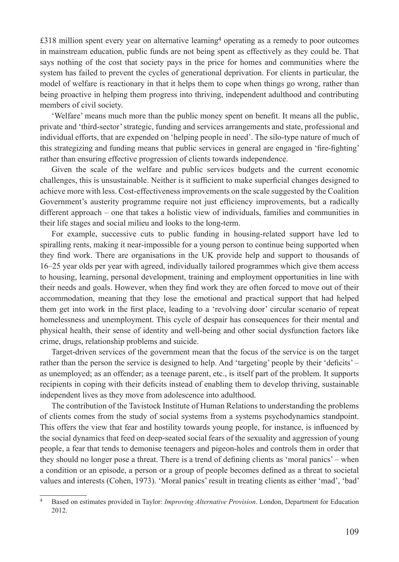£318 million spent every year on alternative learning<sup>4</sup> operating as a remedy to poor outcomes in mainstream education, public funds are not being spent as effectively as they could be. That says nothing of the cost that society pays in the price for homes and communities where the system has failed to prevent the cycles of generational deprivation. For clients in particular, the model of welfare is reactionary in that it helps them to cope when things go wrong, rather than being proactive in helping them progress into thriving, independent adulthood and contributing members of civil society.

'Welfare' means much more than the public money spent on benefit. It means all the public, private and 'third-sector' strategic, funding and services arrangements and state, professional and individual efforts, that are expended on 'helping people in need'. The silo-type nature of much of this strategizing and funding means that public services in general are engaged in 'fire-fighting' rather than ensuring effective progression of clients towards independence.

Given the scale of the welfare and public services budgets and the current economic challenges, this is unsustainable. Neither is it sufficient to make superficial changes designed to achieve more with less. Cost-effectiveness improvements on the scale suggested by the Coalition Government's austerity programme require not just efficiency improvements, but a radically different approach – one that takes a holistic view of individuals, families and communities in their life stages and social milieu and looks to the long-term.

For example, successive cuts to public funding in housing-related support have led to spiralling rents, making it near-impossible for a young person to continue being supported when they find work. There are organisations in the UK provide help and support to thousands of 16–25 year olds per year with agreed, individually tailored programmes which give them access to housing, learning, personal development, training and employment opportunities in line with their needs and goals. However, when they find work they are often forced to move out of their accommodation, meaning that they lose the emotional and practical support that had helped them get into work in the first place, leading to a 'revolving door' circular scenario of repeat homelessness and unemployment. This cycle of despair has consequences for their mental and physical health, their sense of identity and well-being and other social dysfunction factors like crime, drugs, relationship problems and suicide.

Target-driven services of the government mean that the focus of the service is on the target rather than the person the service is designed to help. And 'targeting' people by their 'deficits' – as unemployed; as an offender; as a teenage parent, etc., is itself part of the problem. It supports recipients in coping with their deficits instead of enabling them to develop thriving, sustainable independent lives as they move from adolescence into adulthood.

The contribution of the Tavistock Institute of Human Relations to understanding the problems of clients comes from the study of social systems from a systems psychodynamics standpoint. This offers the view that fear and hostility towards young people, for instance, is influenced by the social dynamics that feed on deep-seated social fears of the sexuality and aggression of young people, a fear that tends to demonise teenagers and pigeon-holes and controls them in order that they should no longer pose a threat. There is a trend of defining clients as 'moral panics' – when a condition or an episode, a person or a group of people becomes defined as a threat to societal values and interests (Cohen, 1973). 'Moral panics' result in treating clients as either 'mad', 'bad'

<sup>4</sup> Based on estimates provided in Taylor: *Improving Alternative Provision*. London, Department for Education 2012.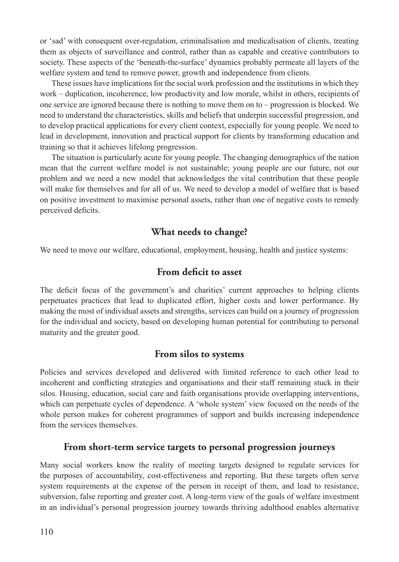or 'sad' with consequent over-regulation, criminalisation and medicalisation of clients, treating them as objects of surveillance and control, rather than as capable and creative contributors to society. These aspects of the 'beneath-the-surface' dynamics probably permeate all layers of the welfare system and tend to remove power, growth and independence from clients.

These issues have implications for the social work profession and the institutions in which they work – duplication, incoherence, low productivity and low morale, whilst in others, recipients of one service are ignored because there is nothing to move them on to – progression is blocked. We need to understand the characteristics, skills and beliefs that underpin successful progression, and to develop practical applications for every client context, especially for young people. We need to lead in development, innovation and practical support for clients by transforming education and training so that it achieves lifelong progression.

The situation is particularly acute for young people. The changing demographics of the nation mean that the current welfare model is not sustainable; young people are our future, not our problem and we need a new model that acknowledges the vital contribution that these people will make for themselves and for all of us. We need to develop a model of welfare that is based on positive investment to maximise personal assets, rather than one of negative costs to remedy perceived deficits.

### **What needs to change?**

We need to move our welfare, educational, employment, housing, health and justice systems:

#### **From deficit to asset**

The deficit focus of the government's and charities' current approaches to helping clients perpetuates practices that lead to duplicated effort, higher costs and lower performance. By making the most of individual assets and strengths, services can build on a journey of progression for the individual and society, based on developing human potential for contributing to personal maturity and the greater good.

#### **From silos to systems**

Policies and services developed and delivered with limited reference to each other lead to incoherent and conflicting strategies and organisations and their staff remaining stuck in their silos. Housing, education, social care and faith organisations provide overlapping interventions, which can perpetuate cycles of dependence. A 'whole system' view focused on the needs of the whole person makes for coherent programmes of support and builds increasing independence from the services themselves.

#### **From short-term service targets to personal progression journeys**

Many social workers know the reality of meeting targets designed to regulate services for the purposes of accountability, cost-effectiveness and reporting. But these targets often serve system requirements at the expense of the person in receipt of them, and lead to resistance, subversion, false reporting and greater cost. A long-term view of the goals of welfare investment in an individual's personal progression journey towards thriving adulthood enables alternative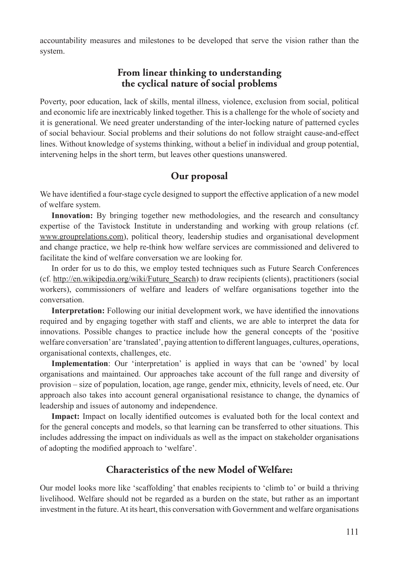accountability measures and milestones to be developed that serve the vision rather than the system.

#### **From linear thinking to understanding the cyclical nature of social problems**

Poverty, poor education, lack of skills, mental illness, violence, exclusion from social, political and economic life are inextricably linked together. This is a challenge for the whole of society and it is generational. We need greater understanding of the inter-locking nature of patterned cycles of social behaviour. Social problems and their solutions do not follow straight cause-and-effect lines. Without knowledge of systems thinking, without a belief in individual and group potential, intervening helps in the short term, but leaves other questions unanswered.

### **Our proposal**

We have identified a four-stage cycle designed to support the effective application of a new model of welfare system.

**Innovation:** By bringing together new methodologies, and the research and consultancy expertise of the Tavistock Institute in understanding and working with group relations (cf. www.grouprelations.com), political theory, leadership studies and organisational development and change practice, we help re-think how welfare services are commissioned and delivered to facilitate the kind of welfare conversation we are looking for.

In order for us to do this, we employ tested techniques such as Future Search Conferences (cf. http://en.wikipedia.org/wiki/Future\_Search) to draw recipients (clients), practitioners (social workers), commissioners of welfare and leaders of welfare organisations together into the conversation.

**Interpretation:** Following our initial development work, we have identified the innovations required and by engaging together with staff and clients, we are able to interpret the data for innovations. Possible changes to practice include how the general concepts of the 'positive welfare conversation' are 'translated', paying attention to different languages, cultures, operations, organisational contexts, challenges, etc.

**Implementation**: Our 'interpretation' is applied in ways that can be 'owned' by local organisations and maintained. Our approaches take account of the full range and diversity of provision – size of population, location, age range, gender mix, ethnicity, levels of need, etc. Our approach also takes into account general organisational resistance to change, the dynamics of leadership and issues of autonomy and independence.

**Impact:** Impact on locally identified outcomes is evaluated both for the local context and for the general concepts and models, so that learning can be transferred to other situations. This includes addressing the impact on individuals as well as the impact on stakeholder organisations of adopting the modified approach to 'welfare'.

### **Characteristics of the new Model of Welfare:**

Our model looks more like 'scaffolding' that enables recipients to 'climb to' or build a thriving livelihood. Welfare should not be regarded as a burden on the state, but rather as an important investment in the future. At its heart, this conversation with Government and welfare organisations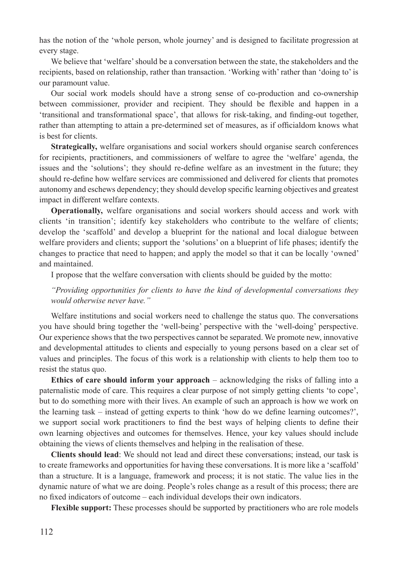has the notion of the 'whole person, whole journey' and is designed to facilitate progression at every stage.

We believe that 'welfare' should be a conversation between the state, the stakeholders and the recipients, based on relationship, rather than transaction. 'Working with' rather than 'doing to' is our paramount value.

Our social work models should have a strong sense of co-production and co-ownership between commissioner, provider and recipient. They should be flexible and happen in a 'transitional and transformational space', that allows for risk-taking, and finding-out together, rather than attempting to attain a pre-determined set of measures, as if officialdom knows what is best for clients.

**Strategically,** welfare organisations and social workers should organise search conferences for recipients, practitioners, and commissioners of welfare to agree the 'welfare' agenda, the issues and the 'solutions'; they should re-define welfare as an investment in the future; they should re-define how welfare services are commissioned and delivered for clients that promotes autonomy and eschews dependency; they should develop specific learning objectives and greatest impact in different welfare contexts.

**Operationally,** welfare organisations and social workers should access and work with clients 'in transition'; identify key stakeholders who contribute to the welfare of clients; develop the 'scaffold' and develop a blueprint for the national and local dialogue between welfare providers and clients; support the 'solutions' on a blueprint of life phases; identify the changes to practice that need to happen; and apply the model so that it can be locally 'owned' and maintained.

I propose that the welfare conversation with clients should be guided by the motto:

*"Providing opportunities for clients to have the kind of developmental conversations they would otherwise never have."*

Welfare institutions and social workers need to challenge the status quo. The conversations you have should bring together the 'well-being' perspective with the 'well-doing' perspective. Our experience shows that the two perspectives cannot be separated. We promote new, innovative and developmental attitudes to clients and especially to young persons based on a clear set of values and principles. The focus of this work is a relationship with clients to help them too to resist the status quo.

**Ethics of care should inform your approach** – acknowledging the risks of falling into a paternalistic mode of care. This requires a clear purpose of not simply getting clients 'to cope', but to do something more with their lives. An example of such an approach is how we work on the learning task – instead of getting experts to think 'how do we define learning outcomes?', we support social work practitioners to find the best ways of helping clients to define their own learning objectives and outcomes for themselves. Hence, your key values should include obtaining the views of clients themselves and helping in the realisation of these.

**Clients should lead**: We should not lead and direct these conversations; instead, our task is to create frameworks and opportunities for having these conversations. It is more like a 'scaffold' than a structure. It is a language, framework and process; it is not static. The value lies in the dynamic nature of what we are doing. People's roles change as a result of this process; there are no fixed indicators of outcome – each individual develops their own indicators.

**Flexible support:** These processes should be supported by practitioners who are role models